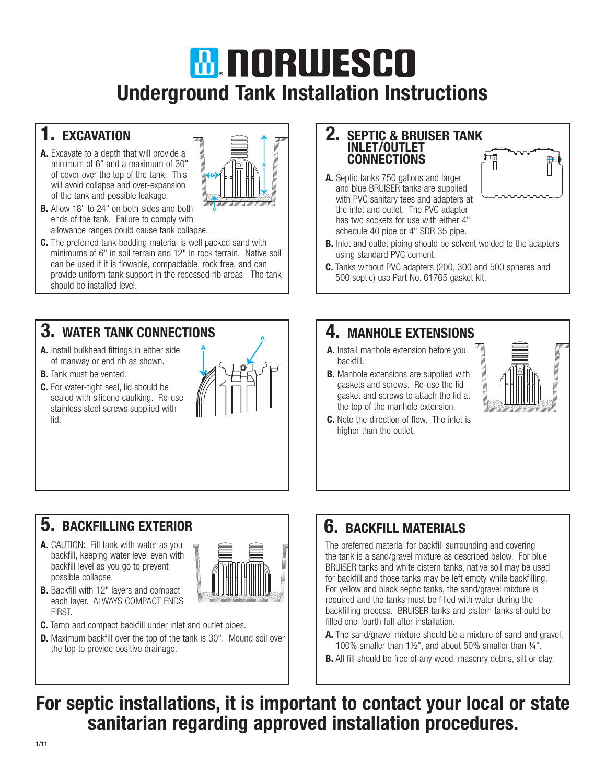## **MINORUJESCO** Underground Tank Installation Instructions

## 1. EXCAVATION

A. Excavate to a depth that will provide a minimum of 6" and a maximum of 30" of cover over the top of the tank. This will avoid collapse and over-expansion of the tank and possible leakage.



- **B.** Allow 18" to 24" on both sides and both ends of the tank. Failure to comply with allowance ranges could cause tank collapse.
- C. The preferred tank bedding material is well packed sand with minimums of 6" in soil terrain and 12" in rock terrain. Native soil can be used if it is flowable, compactable, rock free, and can provide uniform tank support in the recessed rib areas. The tank should be installed level.

#### 3. WATER TANK CONNECTIONS

- A. Install bulkhead fittings in either side of manway or end rib as shown.
- **B.** Tank must be vented.
- C. For water-tight seal, lid should be sealed with silicone caulking. Re-use stainless steel screws supplied with lid.



## 5. BACKFILLING EXTERIOR

A. CAUTION: Fill tank with water as you backfill, keeping water level even with backfill level as you go to prevent possible collapse.

**B.** Backfill with 12" layers and compact each layer. ALWAYS COMPACT ENDS



- C. Tamp and compact backfill under inlet and outlet pipes.
- **D.** Maximum backfill over the top of the tank is 30". Mound soil over the top to provide positive drainage.

#### 2. SEPTIC & BRUISER TANK INLET/OUTLET **CONNECTIONS**

A. Septic tanks 750 gallons and larger and blue BRUISER tanks are supplied with PVC sanitary tees and adapters at the inlet and outlet. The PVC adapter has two sockets for use with either 4" schedule 40 pipe or 4" SDR 35 pipe.



- **B.** Inlet and outlet piping should be solvent welded to the adapters using standard PVC cement.
- C. Tanks without PVC adapters (200, 300 and 500 spheres and 500 septic) use Part No. 61765 gasket kit.

### 4. MANHOLE EXTENSIONS

- A. Install manhole extension before you backfill.
- **B.** Manhole extensions are supplied with gaskets and screws. Re-use the lid gasket and screws to attach the lid at the top of the manhole extension.
- C. Note the direction of flow. The inlet is higher than the outlet.



## 6. BACKFILL MATERIALS

The preferred material for backfill surrounding and covering the tank is a sand/gravel mixture as described below. For blue BRUISER tanks and white cistern tanks, native soil may be used for backfill and those tanks may be left empty while backfilling. For yellow and black septic tanks, the sand/gravel mixture is required and the tanks must be filled with water during the backfilling process. BRUISER tanks and cistern tanks should be filled one-fourth full after installation.

- A. The sand/gravel mixture should be a mixture of sand and gravel, 100% smaller than 1½", and about 50% smaller than ¼".
- **B.** All fill should be free of any wood, masonry debris, silt or clay.

For septic installations, it is important to contact your local or state sanitarian regarding approved installation procedures.

FIRST.